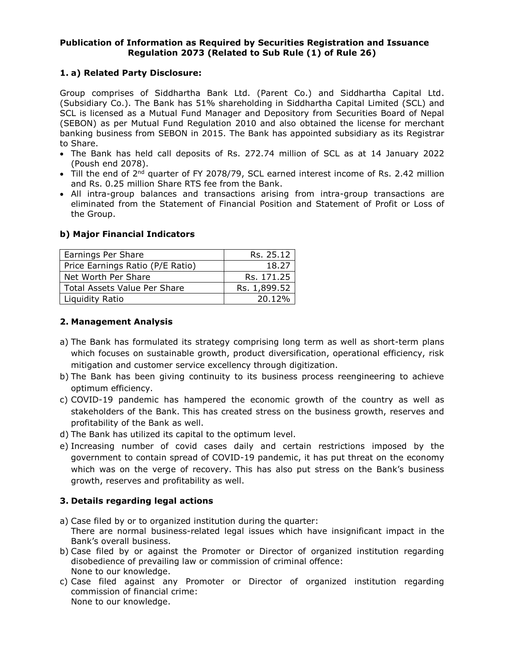### **Publication of Information as Required by Securities Registration and Issuance Regulation 2073 (Related to Sub Rule (1) of Rule 26)**

# **1. a) Related Party Disclosure:**

Group comprises of Siddhartha Bank Ltd. (Parent Co.) and Siddhartha Capital Ltd. (Subsidiary Co.). The Bank has 51% shareholding in Siddhartha Capital Limited (SCL) and SCL is licensed as a Mutual Fund Manager and Depository from Securities Board of Nepal (SEBON) as per Mutual Fund Regulation 2010 and also obtained the license for merchant banking business from SEBON in 2015. The Bank has appointed subsidiary as its Registrar to Share.

- The Bank has held call deposits of Rs. 272.74 million of SCL as at 14 January 2022 (Poush end 2078).
- Till the end of 2<sup>nd</sup> quarter of FY 2078/79, SCL earned interest income of Rs. 2.42 million and Rs. 0.25 million Share RTS fee from the Bank.
- All intra-group balances and transactions arising from intra-group transactions are eliminated from the Statement of Financial Position and Statement of Profit or Loss of the Group.

## **b) Major Financial Indicators**

| Earnings Per Share               | Rs. 25.12    |
|----------------------------------|--------------|
| Price Earnings Ratio (P/E Ratio) | 18.27        |
| Net Worth Per Share              | Rs. 171.25   |
| Total Assets Value Per Share     | Rs. 1,899.52 |
| Liquidity Ratio                  | 20.12%       |

## **2. Management Analysis**

- a) The Bank has formulated its strategy comprising long term as well as short-term plans which focuses on sustainable growth, product diversification, operational efficiency, risk mitigation and customer service excellency through digitization.
- b) The Bank has been giving continuity to its business process reengineering to achieve optimum efficiency.
- c) COVID-19 pandemic has hampered the economic growth of the country as well as stakeholders of the Bank. This has created stress on the business growth, reserves and profitability of the Bank as well.
- d) The Bank has utilized its capital to the optimum level.
- e) Increasing number of covid cases daily and certain restrictions imposed by the government to contain spread of COVID-19 pandemic, it has put threat on the economy which was on the verge of recovery. This has also put stress on the Bank's business growth, reserves and profitability as well.

## **3. Details regarding legal actions**

- a) Case filed by or to organized institution during the quarter: There are normal business-related legal issues which have insignificant impact in the Bank's overall business.
- b) Case filed by or against the Promoter or Director of organized institution regarding disobedience of prevailing law or commission of criminal offence: None to our knowledge.
- c) Case filed against any Promoter or Director of organized institution regarding commission of financial crime: None to our knowledge.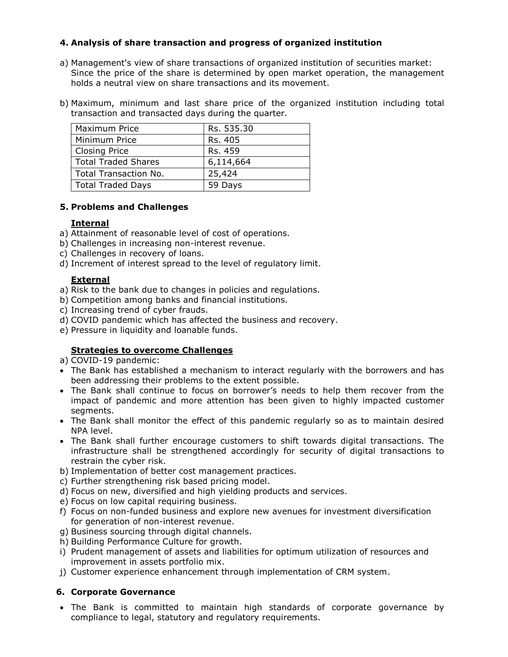## **4. Analysis of share transaction and progress of organized institution**

- a) Management's view of share transactions of organized institution of securities market: Since the price of the share is determined by open market operation, the management holds a neutral view on share transactions and its movement.
- b) Maximum, minimum and last share price of the organized institution including total transaction and transacted days during the quarter.

| <b>Maximum Price</b>  | Rs. 535.30 |
|-----------------------|------------|
| Minimum Price         | Rs. 405    |
| <b>Closing Price</b>  | Rs. 459    |
| Total Traded Shares   | 6,114,664  |
| Total Transaction No. | 25,424     |
| Total Traded Days     | 59 Days    |

#### **5. Problems and Challenges**

### **Internal**

- a) Attainment of reasonable level of cost of operations.
- b) Challenges in increasing non-interest revenue.
- c) Challenges in recovery of loans.
- d) Increment of interest spread to the level of regulatory limit.

## **External**

a) Risk to the bank due to changes in policies and regulations.

- b) Competition among banks and financial institutions.
- c) Increasing trend of cyber frauds.
- d) COVID pandemic which has affected the business and recovery.
- e) Pressure in liquidity and loanable funds.

## **Strategies to overcome Challenges**

a) COVID-19 pandemic:

- The Bank has established a mechanism to interact regularly with the borrowers and has been addressing their problems to the extent possible.
- The Bank shall continue to focus on borrower's needs to help them recover from the impact of pandemic and more attention has been given to highly impacted customer segments.
- The Bank shall monitor the effect of this pandemic regularly so as to maintain desired NPA level.
- The Bank shall further encourage customers to shift towards digital transactions. The infrastructure shall be strengthened accordingly for security of digital transactions to restrain the cyber risk.
- b) Implementation of better cost management practices.
- c) Further strengthening risk based pricing model.
- d) Focus on new, diversified and high yielding products and services.
- e) Focus on low capital requiring business.
- f) Focus on non-funded business and explore new avenues for investment diversification for generation of non-interest revenue.
- g) Business sourcing through digital channels.
- h) Building Performance Culture for growth.
- i) Prudent management of assets and liabilities for optimum utilization of resources and improvement in assets portfolio mix.
- j) Customer experience enhancement through implementation of CRM system.

## **6. Corporate Governance**

• The Bank is committed to maintain high standards of corporate governance by compliance to legal, statutory and regulatory requirements.